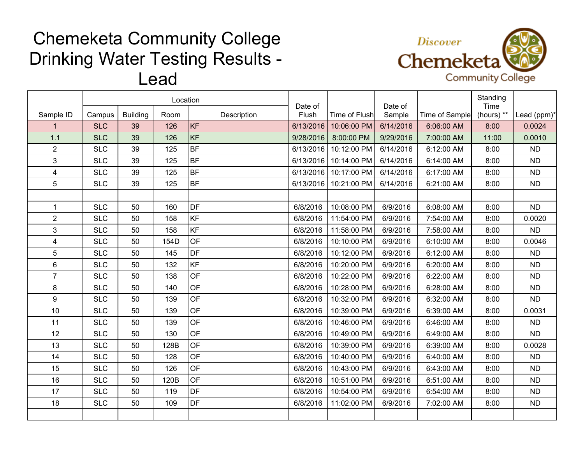## Chemeketa Community College Drinking Water Testing Results - Lead



|                         |            |                 | Location |             |                  |               |                   |                | Standing           |             |
|-------------------------|------------|-----------------|----------|-------------|------------------|---------------|-------------------|----------------|--------------------|-------------|
| Sample ID               | Campus     | <b>Building</b> | Room     | Description | Date of<br>Flush | Time of Flush | Date of<br>Sample | Time of Sample | Time<br>(hours) ** | Lead (ppm)* |
| $\mathbf{1}$            | <b>SLC</b> | 39              | 126      | <b>KF</b>   | 6/13/2016        | 10:06:00 PM   | 6/14/2016         | 6:06:00 AM     | 8:00               | 0.0024      |
| 1.1                     | <b>SLC</b> | 39              | 126      | KF          | 9/28/2016        | 8:00:00 PM    | 9/29/2016         | 7:00:00 AM     | 11:00              | 0.0010      |
| $\overline{2}$          | <b>SLC</b> | 39              | 125      | <b>BF</b>   | 6/13/2016        | 10:12:00 PM   | 6/14/2016         | 6:12:00 AM     | 8:00               | <b>ND</b>   |
| 3                       | <b>SLC</b> | 39              | 125      | <b>BF</b>   | 6/13/2016        | 10:14:00 PM   | 6/14/2016         | 6:14:00 AM     | 8:00               | <b>ND</b>   |
| $\overline{4}$          | <b>SLC</b> | 39              | 125      | <b>BF</b>   | 6/13/2016        | 10:17:00 PM   | 6/14/2016         | 6:17:00 AM     | 8:00               | <b>ND</b>   |
| 5                       | <b>SLC</b> | 39              | 125      | BF          | 6/13/2016        | 10:21:00 PM   | 6/14/2016         | 6:21:00 AM     | 8:00               | <b>ND</b>   |
|                         |            |                 |          |             |                  |               |                   |                |                    |             |
| $\mathbf{1}$            | <b>SLC</b> | 50              | 160      | <b>DF</b>   | 6/8/2016         | 10:08:00 PM   | 6/9/2016          | 6:08:00 AM     | 8:00               | <b>ND</b>   |
| $\overline{2}$          | <b>SLC</b> | 50              | 158      | <b>KF</b>   | 6/8/2016         | 11:54:00 PM   | 6/9/2016          | 7:54:00 AM     | 8:00               | 0.0020      |
| 3                       | <b>SLC</b> | 50              | 158      | <b>KF</b>   | 6/8/2016         | 11:58:00 PM   | 6/9/2016          | 7:58:00 AM     | 8:00               | <b>ND</b>   |
| $\overline{\mathbf{4}}$ | <b>SLC</b> | 50              | 154D     | OF          | 6/8/2016         | 10:10:00 PM   | 6/9/2016          | 6:10:00 AM     | 8:00               | 0.0046      |
| 5                       | <b>SLC</b> | 50              | 145      | DF          | 6/8/2016         | 10:12:00 PM   | 6/9/2016          | 6:12:00 AM     | 8:00               | <b>ND</b>   |
| $\,6\,$                 | <b>SLC</b> | 50              | 132      | KF          | 6/8/2016         | 10:20:00 PM   | 6/9/2016          | 6:20:00 AM     | 8:00               | <b>ND</b>   |
| $\overline{7}$          | <b>SLC</b> | 50              | 138      | OF          | 6/8/2016         | 10:22:00 PM   | 6/9/2016          | 6:22:00 AM     | 8:00               | <b>ND</b>   |
| 8                       | <b>SLC</b> | 50              | 140      | <b>OF</b>   | 6/8/2016         | 10:28:00 PM   | 6/9/2016          | 6:28:00 AM     | 8:00               | <b>ND</b>   |
| 9                       | <b>SLC</b> | 50              | 139      | OF          | 6/8/2016         | 10:32:00 PM   | 6/9/2016          | 6:32:00 AM     | 8:00               | <b>ND</b>   |
| 10                      | <b>SLC</b> | 50              | 139      | <b>OF</b>   | 6/8/2016         | 10:39:00 PM   | 6/9/2016          | 6:39:00 AM     | 8:00               | 0.0031      |
| 11                      | <b>SLC</b> | 50              | 139      | <b>OF</b>   | 6/8/2016         | 10:46:00 PM   | 6/9/2016          | 6:46:00 AM     | 8:00               | <b>ND</b>   |
| 12                      | <b>SLC</b> | 50              | 130      | <b>OF</b>   | 6/8/2016         | 10:49:00 PM   | 6/9/2016          | 6:49:00 AM     | 8:00               | <b>ND</b>   |
| 13                      | <b>SLC</b> | 50              | 128B     | <b>OF</b>   | 6/8/2016         | 10:39:00 PM   | 6/9/2016          | 6:39:00 AM     | 8:00               | 0.0028      |
| 14                      | <b>SLC</b> | 50              | 128      | <b>OF</b>   | 6/8/2016         | 10:40:00 PM   | 6/9/2016          | 6:40:00 AM     | 8:00               | <b>ND</b>   |
| 15                      | <b>SLC</b> | 50              | 126      | OF          | 6/8/2016         | 10:43:00 PM   | 6/9/2016          | 6:43:00 AM     | 8:00               | <b>ND</b>   |
| 16                      | <b>SLC</b> | 50              | 120B     | <b>OF</b>   | 6/8/2016         | 10:51:00 PM   | 6/9/2016          | 6:51:00 AM     | 8:00               | <b>ND</b>   |
| 17                      | <b>SLC</b> | 50              | 119      | DF          | 6/8/2016         | 10:54:00 PM   | 6/9/2016          | 6:54:00 AM     | 8:00               | <b>ND</b>   |
| 18                      | <b>SLC</b> | 50              | 109      | DF          | 6/8/2016         | 11:02:00 PM   | 6/9/2016          | 7:02:00 AM     | 8:00               | <b>ND</b>   |
|                         |            |                 |          |             |                  |               |                   |                |                    |             |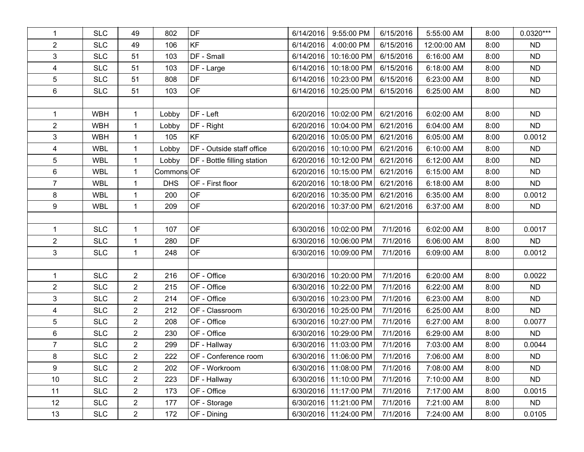| $\mathbf{1}$   | <b>SLC</b> | 49               | 802        | DF                          | 6/14/2016 | 9:55:00 PM              | 6/15/2016 | 5:55:00 AM  | 8:00 | $0.0320***$ |
|----------------|------------|------------------|------------|-----------------------------|-----------|-------------------------|-----------|-------------|------|-------------|
| $\overline{c}$ | <b>SLC</b> | 49               | 106        | KF                          | 6/14/2016 | 4:00:00 PM              | 6/15/2016 | 12:00:00 AM | 8:00 | <b>ND</b>   |
| 3              | <b>SLC</b> | 51               | 103        | DF - Small                  | 6/14/2016 | 10:16:00 PM             | 6/15/2016 | 6:16:00 AM  | 8:00 | <b>ND</b>   |
| 4              | <b>SLC</b> | 51               | 103        | DF - Large                  | 6/14/2016 | 10:18:00 PM             | 6/15/2016 | 6:18:00 AM  | 8:00 | <b>ND</b>   |
| 5              | <b>SLC</b> | 51               | 808        | DF                          | 6/14/2016 | 10:23:00 PM             | 6/15/2016 | 6:23:00 AM  | 8:00 | <b>ND</b>   |
| 6              | <b>SLC</b> | 51               | 103        | <b>OF</b>                   | 6/14/2016 | 10:25:00 PM             | 6/15/2016 | 6:25:00 AM  | 8:00 | <b>ND</b>   |
|                |            |                  |            |                             |           |                         |           |             |      |             |
| $\mathbf{1}$   | <b>WBH</b> | $\mathbf{1}$     | Lobby      | DF - Left                   | 6/20/2016 | 10:02:00 PM             | 6/21/2016 | 6:02:00 AM  | 8:00 | <b>ND</b>   |
| $\overline{2}$ | <b>WBH</b> | 1                | Lobby      | DF - Right                  | 6/20/2016 | 10:04:00 PM             | 6/21/2016 | 6:04:00 AM  | 8:00 | <b>ND</b>   |
| 3              | <b>WBH</b> | $\mathbf{1}$     | 105        | KF                          | 6/20/2016 | 10:05:00 PM             | 6/21/2016 | 6:05:00 AM  | 8:00 | 0.0012      |
| $\overline{4}$ | <b>WBL</b> | $\mathbf{1}$     | Lobby      | DF - Outside staff office   | 6/20/2016 | 10:10:00 PM             | 6/21/2016 | 6:10:00 AM  | 8:00 | <b>ND</b>   |
| 5              | <b>WBL</b> | 1                | Lobby      | DF - Bottle filling station | 6/20/2016 | 10:12:00 PM             | 6/21/2016 | 6:12:00 AM  | 8:00 | <b>ND</b>   |
| 6              | <b>WBL</b> | $\mathbf{1}$     | Commons OF |                             |           | 6/20/2016 10:15:00 PM   | 6/21/2016 | 6:15:00 AM  | 8:00 | <b>ND</b>   |
| $\overline{7}$ | <b>WBL</b> | 1                | <b>DHS</b> | OF - First floor            | 6/20/2016 | 10:18:00 PM             | 6/21/2016 | 6:18:00 AM  | 8:00 | <b>ND</b>   |
| 8              | <b>WBL</b> | $\mathbf{1}$     | 200        | OF                          | 6/20/2016 | 10:35:00 PM             | 6/21/2016 | 6:35:00 AM  | 8:00 | 0.0012      |
| 9              | <b>WBL</b> | $\mathbf{1}$     | 209        | <b>OF</b>                   | 6/20/2016 | 10:37:00 PM             | 6/21/2016 | 6:37:00 AM  | 8:00 | <b>ND</b>   |
|                |            |                  |            |                             |           |                         |           |             |      |             |
| $\mathbf{1}$   | <b>SLC</b> | $\mathbf{1}$     | 107        | OF                          | 6/30/2016 | 10:02:00 PM             | 7/1/2016  | 6:02:00 AM  | 8:00 | 0.0017      |
| $\overline{2}$ | <b>SLC</b> | 1                | 280        | DF                          | 6/30/2016 | 10:06:00 PM             | 7/1/2016  | 6:06:00 AM  | 8:00 | <b>ND</b>   |
| 3              | <b>SLC</b> | $\mathbf{1}$     | 248        | OF                          | 6/30/2016 | 10:09:00 PM             | 7/1/2016  | 6:09:00 AM  | 8:00 | 0.0012      |
|                |            |                  |            |                             |           |                         |           |             |      |             |
| $\mathbf{1}$   | <b>SLC</b> | $\overline{2}$   | 216        | OF - Office                 | 6/30/2016 | 10:20:00 PM             | 7/1/2016  | 6:20:00 AM  | 8:00 | 0.0022      |
| $\overline{2}$ | <b>SLC</b> | $\overline{2}$   | 215        | OF - Office                 | 6/30/2016 | 10:22:00 PM             | 7/1/2016  | 6:22:00 AM  | 8:00 | <b>ND</b>   |
| 3              | <b>SLC</b> | $\overline{2}$   | 214        | OF - Office                 | 6/30/2016 | 10:23:00 PM             | 7/1/2016  | 6:23:00 AM  | 8:00 | <b>ND</b>   |
| 4              | <b>SLC</b> | $\overline{2}$   | 212        | OF - Classroom              | 6/30/2016 | 10:25:00 PM             | 7/1/2016  | 6:25:00 AM  | 8:00 | <b>ND</b>   |
| 5              | <b>SLC</b> | $\overline{2}$   | 208        | OF - Office                 | 6/30/2016 | 10:27:00 PM             | 7/1/2016  | 6:27:00 AM  | 8:00 | 0.0077      |
| 6              | <b>SLC</b> | $\overline{2}$   | 230        | OF - Office                 | 6/30/2016 | 10:29:00 PM             | 7/1/2016  | 6:29:00 AM  | 8:00 | <b>ND</b>   |
| $\overline{7}$ | <b>SLC</b> | $\overline{2}$   | 299        | DF - Hallway                |           | 6/30/2016 11:03:00 PM   | 7/1/2016  | 7:03:00 AM  | 8:00 | 0.0044      |
| 8              | <b>SLC</b> | $\boldsymbol{2}$ | 222        | OF - Conference room        |           | 6/30/2016   11:06:00 PM | 7/1/2016  | 7:06:00 AM  | 8:00 | <b>ND</b>   |
| 9              | <b>SLC</b> | $\overline{2}$   | 202        | OF - Workroom               |           | 6/30/2016   11:08:00 PM | 7/1/2016  | 7:08:00 AM  | 8:00 | <b>ND</b>   |
| 10             | <b>SLC</b> | $\overline{2}$   | 223        | DF - Hallway                |           | 6/30/2016 11:10:00 PM   | 7/1/2016  | 7:10:00 AM  | 8:00 | <b>ND</b>   |
| 11             | <b>SLC</b> | $\overline{2}$   | 173        | OF - Office                 |           | 6/30/2016 11:17:00 PM   | 7/1/2016  | 7:17:00 AM  | 8:00 | 0.0015      |
| 12             | <b>SLC</b> | $\overline{2}$   | 177        | OF - Storage                |           | 6/30/2016   11:21:00 PM | 7/1/2016  | 7:21:00 AM  | 8:00 | ND.         |
| 13             | <b>SLC</b> | $\overline{2}$   | 172        | OF - Dining                 |           | 6/30/2016 11:24:00 PM   | 7/1/2016  | 7:24:00 AM  | 8:00 | 0.0105      |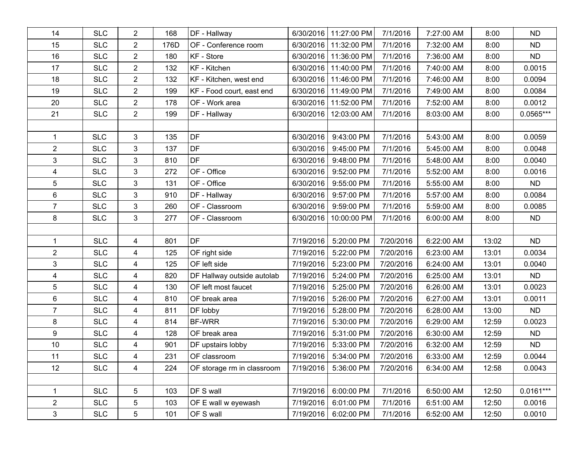| 14             | <b>SLC</b> | $\overline{2}$          | 168  | DF - Hallway               | 6/30/2016 | 11:27:00 PM             | 7/1/2016  | 7:27:00 AM | 8:00  | <b>ND</b>   |
|----------------|------------|-------------------------|------|----------------------------|-----------|-------------------------|-----------|------------|-------|-------------|
| 15             | <b>SLC</b> | $\boldsymbol{2}$        | 176D | OF - Conference room       | 6/30/2016 | 11:32:00 PM             | 7/1/2016  | 7:32:00 AM | 8:00  | <b>ND</b>   |
| 16             | <b>SLC</b> | $\overline{2}$          | 180  | KF - Store                 |           | 6/30/2016 11:36:00 PM   | 7/1/2016  | 7:36:00 AM | 8:00  | <b>ND</b>   |
| 17             | <b>SLC</b> | $\overline{2}$          | 132  | KF - Kitchen               |           | 6/30/2016   11:40:00 PM | 7/1/2016  | 7:40:00 AM | 8:00  | 0.0015      |
| 18             | <b>SLC</b> | $\overline{2}$          | 132  | KF - Kitchen, west end     | 6/30/2016 | 11:46:00 PM             | 7/1/2016  | 7:46:00 AM | 8:00  | 0.0094      |
| 19             | <b>SLC</b> | $\overline{2}$          | 199  | KF - Food court, east end  | 6/30/2016 | 11:49:00 PM             | 7/1/2016  | 7:49:00 AM | 8:00  | 0.0084      |
| 20             | <b>SLC</b> | $\overline{2}$          | 178  | OF - Work area             | 6/30/2016 | 11:52:00 PM             | 7/1/2016  | 7:52:00 AM | 8:00  | 0.0012      |
| 21             | <b>SLC</b> | $\overline{2}$          | 199  | DF - Hallway               | 6/30/2016 | 12:03:00 AM             | 7/1/2016  | 8:03:00 AM | 8:00  | $0.0565***$ |
|                |            |                         |      |                            |           |                         |           |            |       |             |
| 1              | <b>SLC</b> | 3                       | 135  | DF                         | 6/30/2016 | 9:43:00 PM              | 7/1/2016  | 5:43:00 AM | 8:00  | 0.0059      |
| $\overline{2}$ | <b>SLC</b> | 3                       | 137  | DF                         | 6/30/2016 | 9:45:00 PM              | 7/1/2016  | 5:45:00 AM | 8:00  | 0.0048      |
| 3              | <b>SLC</b> | 3                       | 810  | DF                         | 6/30/2016 | 9:48:00 PM              | 7/1/2016  | 5:48:00 AM | 8:00  | 0.0040      |
| 4              | <b>SLC</b> | 3                       | 272  | OF - Office                | 6/30/2016 | 9:52:00 PM              | 7/1/2016  | 5:52:00 AM | 8:00  | 0.0016      |
| 5              | <b>SLC</b> | 3                       | 131  | OF - Office                | 6/30/2016 | 9:55:00 PM              | 7/1/2016  | 5:55:00 AM | 8:00  | <b>ND</b>   |
| 6              | <b>SLC</b> | 3                       | 910  | DF - Hallway               | 6/30/2016 | 9:57:00 PM              | 7/1/2016  | 5:57:00 AM | 8:00  | 0.0084      |
| $\overline{7}$ | <b>SLC</b> | 3                       | 260  | OF - Classroom             | 6/30/2016 | 9:59:00 PM              | 7/1/2016  | 5:59:00 AM | 8:00  | 0.0085      |
| 8              | <b>SLC</b> | 3                       | 277  | OF - Classroom             | 6/30/2016 | 10:00:00 PM             | 7/1/2016  | 6:00:00 AM | 8:00  | <b>ND</b>   |
|                |            |                         |      |                            |           |                         |           |            |       |             |
| $\mathbf{1}$   | <b>SLC</b> | 4                       | 801  | DF                         | 7/19/2016 | 5:20:00 PM              | 7/20/2016 | 6:22:00 AM | 13:02 | <b>ND</b>   |
| $\overline{2}$ | <b>SLC</b> | $\overline{\mathbf{4}}$ | 125  | OF right side              | 7/19/2016 | 5:22:00 PM              | 7/20/2016 | 6:23:00 AM | 13:01 | 0.0034      |
| 3              | <b>SLC</b> | 4                       | 125  | OF left side               | 7/19/2016 | 5:23:00 PM              | 7/20/2016 | 6:24:00 AM | 13:01 | 0.0040      |
| 4              | <b>SLC</b> | 4                       | 820  | DF Hallway outside autolab | 7/19/2016 | 5:24:00 PM              | 7/20/2016 | 6:25:00 AM | 13:01 | <b>ND</b>   |
| 5              | <b>SLC</b> | 4                       | 130  | OF left most faucet        | 7/19/2016 | 5:25:00 PM              | 7/20/2016 | 6:26:00 AM | 13:01 | 0.0023      |
| 6              | <b>SLC</b> | 4                       | 810  | OF break area              | 7/19/2016 | 5:26:00 PM              | 7/20/2016 | 6:27:00 AM | 13:01 | 0.0011      |
| $\overline{7}$ | <b>SLC</b> | 4                       | 811  | DF lobby                   | 7/19/2016 | 5:28:00 PM              | 7/20/2016 | 6:28:00 AM | 13:00 | <b>ND</b>   |
| 8              | <b>SLC</b> | 4                       | 814  | <b>BF-WRR</b>              | 7/19/2016 | 5:30:00 PM              | 7/20/2016 | 6:29:00 AM | 12:59 | 0.0023      |
| 9              | <b>SLC</b> | 4                       | 128  | OF break area              | 7/19/2016 | 5:31:00 PM              | 7/20/2016 | 6:30:00 AM | 12:59 | <b>ND</b>   |
| 10             | <b>SLC</b> | $\overline{\mathbf{4}}$ | 901  | DF upstairs lobby          | 7/19/2016 | 5:33:00 PM              | 7/20/2016 | 6:32:00 AM | 12:59 | <b>ND</b>   |
| 11             | <b>SLC</b> | 4                       | 231  | OF classroom               |           | 7/19/2016 5:34:00 PM    | 7/20/2016 | 6:33:00 AM | 12:59 | 0.0044      |
| 12             | <b>SLC</b> | 4                       | 224  | OF storage rm in classroom | 7/19/2016 | 5:36:00 PM              | 7/20/2016 | 6:34:00 AM | 12:58 | 0.0043      |
|                |            |                         |      |                            |           |                         |           |            |       |             |
| 1              | <b>SLC</b> | 5                       | 103  | DF S wall                  | 7/19/2016 | 6:00:00 PM              | 7/1/2016  | 6:50:00 AM | 12:50 | $0.0161***$ |
| $\overline{a}$ | <b>SLC</b> | 5                       | 103  | OF E wall w eyewash        | 7/19/2016 | 6:01:00 PM              | 7/1/2016  | 6:51:00 AM | 12:50 | 0.0016      |
| 3              | <b>SLC</b> | 5                       | 101  | OF S wall                  | 7/19/2016 | 6:02:00 PM              | 7/1/2016  | 6:52:00 AM | 12:50 | 0.0010      |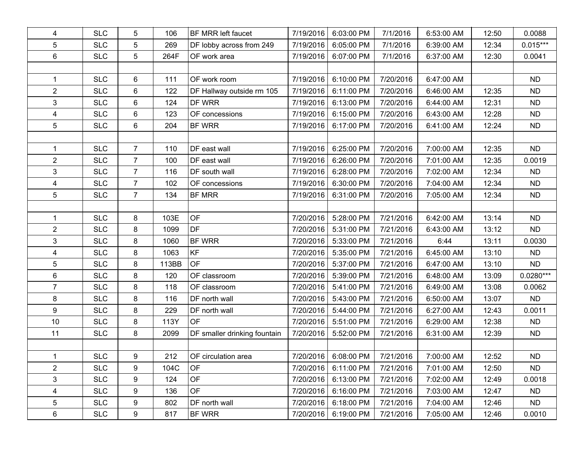| 4              | <b>SLC</b> | 5              | 106   | BF MRR left faucet           | 7/19/2016 | 6:03:00 PM           | 7/1/2016  | 6:53:00 AM | 12:50 | 0.0088      |
|----------------|------------|----------------|-------|------------------------------|-----------|----------------------|-----------|------------|-------|-------------|
| 5              | <b>SLC</b> | $\sqrt{5}$     | 269   | DF lobby across from 249     | 7/19/2016 | 6:05:00 PM           | 7/1/2016  | 6:39:00 AM | 12:34 | $0.015***$  |
| 6              | <b>SLC</b> | 5              | 264F  | OF work area                 | 7/19/2016 | 6:07:00 PM           | 7/1/2016  | 6:37:00 AM | 12:30 | 0.0041      |
|                |            |                |       |                              |           |                      |           |            |       |             |
| $\mathbf{1}$   | <b>SLC</b> | 6              | 111   | OF work room                 | 7/19/2016 | 6:10:00 PM           | 7/20/2016 | 6:47:00 AM |       | <b>ND</b>   |
| $\overline{2}$ | <b>SLC</b> | 6              | 122   | DF Hallway outside rm 105    | 7/19/2016 | 6:11:00 PM           | 7/20/2016 | 6:46:00 AM | 12:35 | <b>ND</b>   |
| 3              | <b>SLC</b> | 6              | 124   | DF WRR                       | 7/19/2016 | 6:13:00 PM           | 7/20/2016 | 6:44:00 AM | 12:31 | <b>ND</b>   |
| 4              | <b>SLC</b> | 6              | 123   | OF concessions               | 7/19/2016 | 6:15:00 PM           | 7/20/2016 | 6:43:00 AM | 12:28 | <b>ND</b>   |
| 5              | <b>SLC</b> | 6              | 204   | BF WRR                       | 7/19/2016 | 6:17:00 PM           | 7/20/2016 | 6:41:00 AM | 12:24 | <b>ND</b>   |
|                |            |                |       |                              |           |                      |           |            |       |             |
| $\mathbf{1}$   | <b>SLC</b> | $\overline{7}$ | 110   | DF east wall                 | 7/19/2016 | 6:25:00 PM           | 7/20/2016 | 7:00:00 AM | 12:35 | <b>ND</b>   |
| $\overline{c}$ | <b>SLC</b> | $\overline{7}$ | 100   | DF east wall                 | 7/19/2016 | 6:26:00 PM           | 7/20/2016 | 7:01:00 AM | 12:35 | 0.0019      |
| 3              | <b>SLC</b> | $\overline{7}$ | 116   | DF south wall                | 7/19/2016 | 6:28:00 PM           | 7/20/2016 | 7:02:00 AM | 12:34 | <b>ND</b>   |
| 4              | <b>SLC</b> | $\overline{7}$ | 102   | OF concessions               | 7/19/2016 | 6:30:00 PM           | 7/20/2016 | 7:04:00 AM | 12:34 | <b>ND</b>   |
| 5              | <b>SLC</b> | $\overline{7}$ | 134   | <b>BF MRR</b>                | 7/19/2016 | 6:31:00 PM           | 7/20/2016 | 7:05:00 AM | 12:34 | <b>ND</b>   |
|                |            |                |       |                              |           |                      |           |            |       |             |
| $\mathbf{1}$   | <b>SLC</b> | 8              | 103E  | OF                           | 7/20/2016 | 5:28:00 PM           | 7/21/2016 | 6:42:00 AM | 13:14 | <b>ND</b>   |
| $\overline{2}$ | <b>SLC</b> | 8              | 1099  | DF                           | 7/20/2016 | 5:31:00 PM           | 7/21/2016 | 6:43:00 AM | 13:12 | <b>ND</b>   |
| 3              | <b>SLC</b> | 8              | 1060  | BF WRR                       | 7/20/2016 | 5:33:00 PM           | 7/21/2016 | 6:44       | 13:11 | 0.0030      |
| 4              | <b>SLC</b> | 8              | 1063  | KF                           | 7/20/2016 | 5:35:00 PM           | 7/21/2016 | 6:45:00 AM | 13:10 | <b>ND</b>   |
| 5              | <b>SLC</b> | 8              | 113BB | <b>OF</b>                    | 7/20/2016 | 5:37:00 PM           | 7/21/2016 | 6:47:00 AM | 13:10 | <b>ND</b>   |
| 6              | <b>SLC</b> | 8              | 120   | OF classroom                 | 7/20/2016 | 5:39:00 PM           | 7/21/2016 | 6:48:00 AM | 13:09 | $0.0280***$ |
| $\overline{7}$ | <b>SLC</b> | 8              | 118   | OF classroom                 | 7/20/2016 | 5:41:00 PM           | 7/21/2016 | 6:49:00 AM | 13:08 | 0.0062      |
| 8              | <b>SLC</b> | 8              | 116   | DF north wall                | 7/20/2016 | 5:43:00 PM           | 7/21/2016 | 6:50:00 AM | 13:07 | <b>ND</b>   |
| 9              | <b>SLC</b> | 8              | 229   | DF north wall                | 7/20/2016 | 5:44:00 PM           | 7/21/2016 | 6:27:00 AM | 12:43 | 0.0011      |
| 10             | <b>SLC</b> | 8              | 113Y  | <b>OF</b>                    | 7/20/2016 | 5:51:00 PM           | 7/21/2016 | 6:29:00 AM | 12:38 | <b>ND</b>   |
| 11             | <b>SLC</b> | 8              | 2099  | DF smaller drinking fountain | 7/20/2016 | 5:52:00 PM           | 7/21/2016 | 6:31:00 AM | 12:39 | <b>ND</b>   |
|                |            |                |       |                              |           |                      |           |            |       |             |
| 1              | <b>SLC</b> | 9              | 212   | OF circulation area          |           | 7/20/2016 6:08:00 PM | 7/21/2016 | 7:00:00 AM | 12:52 | <b>ND</b>   |
| $\overline{2}$ | <b>SLC</b> | 9              | 104C  | OF                           | 7/20/2016 | 6:11:00 PM           | 7/21/2016 | 7:01:00 AM | 12:50 | <b>ND</b>   |
| 3              | <b>SLC</b> | 9              | 124   | OF                           | 7/20/2016 | 6:13:00 PM           | 7/21/2016 | 7:02:00 AM | 12:49 | 0.0018      |
| 4              | <b>SLC</b> | 9              | 136   | <b>OF</b>                    | 7/20/2016 | 6:16:00 PM           | 7/21/2016 | 7:03:00 AM | 12:47 | ND.         |
| 5              | <b>SLC</b> | 9              | 802   | DF north wall                | 7/20/2016 | 6:18:00 PM           | 7/21/2016 | 7:04:00 AM | 12:46 | <b>ND</b>   |
| 6              | <b>SLC</b> | 9              | 817   | BF WRR                       | 7/20/2016 | 6:19:00 PM           | 7/21/2016 | 7:05:00 AM | 12:46 | 0.0010      |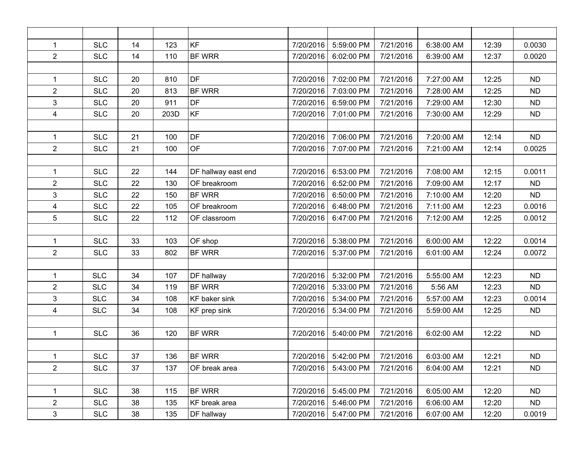| $\mathbf{1}$   | <b>SLC</b> | 14 | 123  | KF                  | 7/20/2016 | 5:59:00 PM | 7/21/2016 | 6:38:00 AM | 12:39 | 0.0030    |
|----------------|------------|----|------|---------------------|-----------|------------|-----------|------------|-------|-----------|
| $\overline{2}$ | <b>SLC</b> | 14 | 110  | <b>BF WRR</b>       | 7/20/2016 | 6:02:00 PM | 7/21/2016 | 6:39:00 AM | 12:37 | 0.0020    |
|                |            |    |      |                     |           |            |           |            |       |           |
| $\mathbf{1}$   | <b>SLC</b> | 20 | 810  | DF                  | 7/20/2016 | 7:02:00 PM | 7/21/2016 | 7:27:00 AM | 12:25 | <b>ND</b> |
| $\overline{2}$ | <b>SLC</b> | 20 | 813  | BF WRR              | 7/20/2016 | 7:03:00 PM | 7/21/2016 | 7:28:00 AM | 12:25 | <b>ND</b> |
| 3              | <b>SLC</b> | 20 | 911  | DF                  | 7/20/2016 | 6:59:00 PM | 7/21/2016 | 7:29:00 AM | 12:30 | <b>ND</b> |
| 4              | <b>SLC</b> | 20 | 203D | KF                  | 7/20/2016 | 7:01:00 PM | 7/21/2016 | 7:30:00 AM | 12:29 | <b>ND</b> |
|                |            |    |      |                     |           |            |           |            |       |           |
| $\mathbf{1}$   | <b>SLC</b> | 21 | 100  | DF                  | 7/20/2016 | 7:06:00 PM | 7/21/2016 | 7:20:00 AM | 12:14 | <b>ND</b> |
| $\overline{2}$ | <b>SLC</b> | 21 | 100  | <b>OF</b>           | 7/20/2016 | 7:07:00 PM | 7/21/2016 | 7:21:00 AM | 12:14 | 0.0025    |
|                |            |    |      |                     |           |            |           |            |       |           |
| $\mathbf{1}$   | <b>SLC</b> | 22 | 144  | DF hallway east end | 7/20/2016 | 6:53:00 PM | 7/21/2016 | 7:08:00 AM | 12:15 | 0.0011    |
| $\overline{2}$ | <b>SLC</b> | 22 | 130  | OF breakroom        | 7/20/2016 | 6:52:00 PM | 7/21/2016 | 7:09:00 AM | 12:17 | <b>ND</b> |
| 3              | <b>SLC</b> | 22 | 150  | BF WRR              | 7/20/2016 | 6:50:00 PM | 7/21/2016 | 7:10:00 AM | 12:20 | <b>ND</b> |
| 4              | <b>SLC</b> | 22 | 105  | OF breakroom        | 7/20/2016 | 6:48:00 PM | 7/21/2016 | 7:11:00 AM | 12:23 | 0.0016    |
| 5              | <b>SLC</b> | 22 | 112  | OF classroom        | 7/20/2016 | 6:47:00 PM | 7/21/2016 | 7:12:00 AM | 12:25 | 0.0012    |
|                |            |    |      |                     |           |            |           |            |       |           |
| $\mathbf{1}$   | <b>SLC</b> | 33 | 103  | OF shop             | 7/20/2016 | 5:38:00 PM | 7/21/2016 | 6:00:00 AM | 12:22 | 0.0014    |
| $\overline{2}$ | <b>SLC</b> | 33 | 802  | BF WRR              | 7/20/2016 | 5:37:00 PM | 7/21/2016 | 6:01:00 AM | 12:24 | 0.0072    |
|                |            |    |      |                     |           |            |           |            |       |           |
| $\mathbf{1}$   | <b>SLC</b> | 34 | 107  | DF hallway          | 7/20/2016 | 5:32:00 PM | 7/21/2016 | 5:55:00 AM | 12:23 | <b>ND</b> |
| $\overline{2}$ | <b>SLC</b> | 34 | 119  | <b>BF WRR</b>       | 7/20/2016 | 5:33:00 PM | 7/21/2016 | 5:56 AM    | 12:23 | <b>ND</b> |
| 3              | <b>SLC</b> | 34 | 108  | KF baker sink       | 7/20/2016 | 5:34:00 PM | 7/21/2016 | 5:57:00 AM | 12:23 | 0.0014    |
| 4              | <b>SLC</b> | 34 | 108  | KF prep sink        | 7/20/2016 | 5:34:00 PM | 7/21/2016 | 5:59:00 AM | 12:25 | <b>ND</b> |
|                |            |    |      |                     |           |            |           |            |       |           |
| $\mathbf{1}$   | <b>SLC</b> | 36 | 120  | BF WRR              | 7/20/2016 | 5:40:00 PM | 7/21/2016 | 6:02:00 AM | 12:22 | <b>ND</b> |
|                |            |    |      |                     |           |            |           |            |       |           |
| $\mathbf{1}$   | <b>SLC</b> | 37 | 136  | <b>BF WRR</b>       | 7/20/2016 | 5:42:00 PM | 7/21/2016 | 6:03:00 AM | 12:21 | <b>ND</b> |
| $\overline{2}$ | <b>SLC</b> | 37 | 137  | OF break area       | 7/20/2016 | 5:43:00 PM | 7/21/2016 | 6:04:00 AM | 12:21 | <b>ND</b> |
|                |            |    |      |                     |           |            |           |            |       |           |
| $\mathbf{1}$   | <b>SLC</b> | 38 | 115  | BF WRR              | 7/20/2016 | 5:45:00 PM | 7/21/2016 | 6:05:00 AM | 12:20 | ND.       |
| $\overline{2}$ | <b>SLC</b> | 38 | 135  | KF break area       | 7/20/2016 | 5:46:00 PM | 7/21/2016 | 6:06:00 AM | 12:20 | ND.       |
| $\mathbf{3}$   | <b>SLC</b> | 38 | 135  | DF hallway          | 7/20/2016 | 5:47:00 PM | 7/21/2016 | 6:07:00 AM | 12:20 | 0.0019    |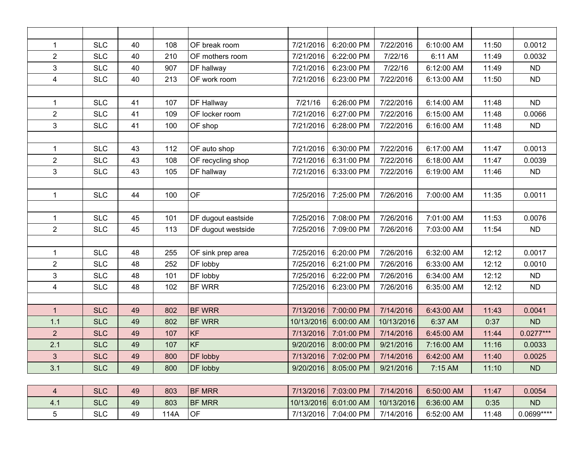| $\mathbf{1}$   | <b>SLC</b> | 40 | 108 | OF break room      | 7/21/2016  | 6:20:00 PM           | 7/22/2016  | 6:10:00 AM | 11:50 | 0.0012      |
|----------------|------------|----|-----|--------------------|------------|----------------------|------------|------------|-------|-------------|
| $\overline{2}$ | <b>SLC</b> | 40 | 210 | OF mothers room    | 7/21/2016  | 6:22:00 PM           | 7/22/16    | 6:11 AM    | 11:49 | 0.0032      |
| 3              | <b>SLC</b> | 40 | 907 | DF hallway         | 7/21/2016  | 6:23:00 PM           | 7/22/16    | 6:12:00 AM | 11:49 | <b>ND</b>   |
| $\overline{4}$ | <b>SLC</b> | 40 | 213 | OF work room       | 7/21/2016  | 6:23:00 PM           | 7/22/2016  | 6:13:00 AM | 11:50 | <b>ND</b>   |
|                |            |    |     |                    |            |                      |            |            |       |             |
| $\mathbf{1}$   | <b>SLC</b> | 41 | 107 | DF Hallway         | 7/21/16    | 6:26:00 PM           | 7/22/2016  | 6:14:00 AM | 11:48 | <b>ND</b>   |
| $\overline{2}$ | <b>SLC</b> | 41 | 109 | OF locker room     | 7/21/2016  | 6:27:00 PM           | 7/22/2016  | 6:15:00 AM | 11:48 | 0.0066      |
| 3              | <b>SLC</b> | 41 | 100 | OF shop            | 7/21/2016  | 6:28:00 PM           | 7/22/2016  | 6:16:00 AM | 11:48 | ND          |
|                |            |    |     |                    |            |                      |            |            |       |             |
| $\mathbf{1}$   | <b>SLC</b> | 43 | 112 | OF auto shop       | 7/21/2016  | 6:30:00 PM           | 7/22/2016  | 6:17:00 AM | 11:47 | 0.0013      |
| $\overline{2}$ | <b>SLC</b> | 43 | 108 | OF recycling shop  | 7/21/2016  | 6:31:00 PM           | 7/22/2016  | 6:18:00 AM | 11:47 | 0.0039      |
| $\overline{3}$ | <b>SLC</b> | 43 | 105 | DF hallway         | 7/21/2016  | 6:33:00 PM           | 7/22/2016  | 6:19:00 AM | 11:46 | <b>ND</b>   |
|                |            |    |     |                    |            |                      |            |            |       |             |
| $\mathbf{1}$   | <b>SLC</b> | 44 | 100 | OF                 | 7/25/2016  | 7:25:00 PM           | 7/26/2016  | 7:00:00 AM | 11:35 | 0.0011      |
|                |            |    |     |                    |            |                      |            |            |       |             |
| $\mathbf{1}$   | <b>SLC</b> | 45 | 101 | DF dugout eastside | 7/25/2016  | 7:08:00 PM           | 7/26/2016  | 7:01:00 AM | 11:53 | 0.0076      |
| $\overline{2}$ | <b>SLC</b> | 45 | 113 | DF dugout westside | 7/25/2016  | 7:09:00 PM           | 7/26/2016  | 7:03:00 AM | 11:54 | <b>ND</b>   |
|                |            |    |     |                    |            |                      |            |            |       |             |
| $\mathbf{1}$   | <b>SLC</b> | 48 | 255 | OF sink prep area  | 7/25/2016  | 6:20:00 PM           | 7/26/2016  | 6:32:00 AM | 12:12 | 0.0017      |
| $\overline{2}$ | <b>SLC</b> | 48 | 252 | DF lobby           | 7/25/2016  | 6:21:00 PM           | 7/26/2016  | 6:33:00 AM | 12:12 | 0.0010      |
| 3              | <b>SLC</b> | 48 | 101 | DF lobby           | 7/25/2016  | 6:22:00 PM           | 7/26/2016  | 6:34:00 AM | 12:12 | <b>ND</b>   |
| $\overline{4}$ | <b>SLC</b> | 48 | 102 | <b>BF WRR</b>      | 7/25/2016  | 6:23:00 PM           | 7/26/2016  | 6:35:00 AM | 12:12 | <b>ND</b>   |
|                |            |    |     |                    |            |                      |            |            |       |             |
| $\mathbf{1}$   | <b>SLC</b> | 49 | 802 | <b>BF WRR</b>      | 7/13/2016  | 7:00:00 PM           | 7/14/2016  | 6:43:00 AM | 11:43 | 0.0041      |
| 1.1            | <b>SLC</b> | 49 | 802 | <b>BF WRR</b>      | 10/13/2016 | 6:00:00 AM           | 10/13/2016 | 6:37 AM    | 0:37  | <b>ND</b>   |
| $\overline{2}$ | <b>SLC</b> | 49 | 107 | KF                 | 7/13/2016  | 7:01:00 PM           | 7/14/2016  | 6:45:00 AM | 11:44 | $0.0277***$ |
| 2.1            | <b>SLC</b> | 49 | 107 | <b>KF</b>          | 9/20/2016  | 8:00:00 PM           | 9/21/2016  | 7:16:00 AM | 11:16 | 0.0033      |
| $\overline{3}$ | <b>SLC</b> | 49 | 800 | DF lobby           | 7/13/2016  | 7:02:00 PM           | 7/14/2016  | 6:42:00 AM | 11:40 | 0.0025      |
| 3.1            | <b>SLC</b> | 49 | 800 | DF lobby           | 9/20/2016  | 8:05:00 PM           | 9/21/2016  | 7:15 AM    | 11:10 | ND          |
|                |            |    |     |                    |            |                      |            |            |       |             |
| $\overline{4}$ | <b>SLC</b> | 49 | 803 | <b>BF MRR</b>      |            | 7/13/2016 7:03:00 PM | 7/14/2016  | 6:50:00 AM | 11:47 | 0.0054      |

|      | ◡∟◡                  | $-\circ$ | uuu  | רוויוויוויווויוו | 77 I J Z J J J L | 1.00.00111             | 11172010   | U.JU.UU AIVI | . <del>.</del> . | 0.000 <del>1</del> |
|------|----------------------|----------|------|------------------|------------------|------------------------|------------|--------------|------------------|--------------------|
| 4. . | $\sim$ $\sim$<br>OLU | 49       | 803  | <b>BF MRR</b>    |                  | 10/13/2016  6:01:00 AM | 10/13/2016 | 6:36:00 AM   | 0:35             | <b>ND</b>          |
|      | $\sim$<br>◡∟         | 49       | 114A | OF               | 7/13/2016        | 7:04:00 PM             | 7/14/2016  | 6:52:00 AM   | 11:48            | 0.0699 ****        |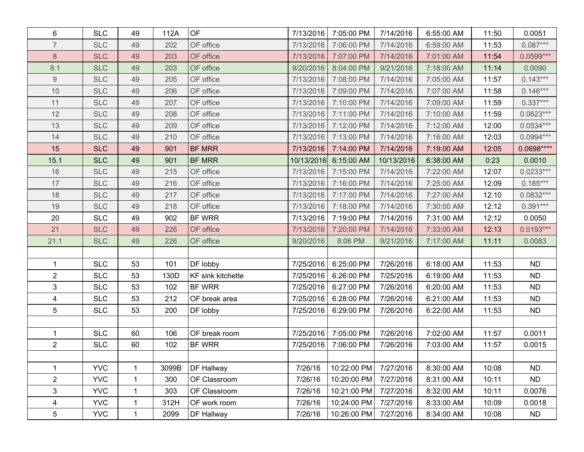| 6                | <b>SLC</b> | 49           | 112A  | <b>OF</b>                | 7/13/2016  | 7:05:00 PM  | 7/14/2016  | 6:55:00 AM | 11:50 | 0.0051      |
|------------------|------------|--------------|-------|--------------------------|------------|-------------|------------|------------|-------|-------------|
| $\overline{7}$   | <b>SLC</b> | 49           | 202   | OF office                | 7/13/2016  | 7:06:00 PM  | 7/14/2016  | 6:59:00 AM | 11:53 | $0.087***$  |
| $\,8\,$          | <b>SLC</b> | 49           | 203   | OF office                | 7/13/2016  | 7:07:00 PM  | 7/14/2016  | 7:01:00 AM | 11:54 | $0.0599***$ |
| 8.1              | <b>SLC</b> | 49           | 203   | OF office                | 9/20/2016  | 8:04:00 PM  | 9/21/2016  | 7:18:00 AM | 11:14 | 0.0090      |
| $\boldsymbol{9}$ | <b>SLC</b> | 49           | 205   | OF office                | 7/13/2016  | 7:08:00 PM  | 7/14/2016  | 7:05:00 AM | 11:57 | $0.143***$  |
| 10               | <b>SLC</b> | 49           | 206   | OF office                | 7/13/2016  | 7:09:00 PM  | 7/14/2016  | 7:07:00 AM | 11:58 | $0.146***$  |
| 11               | <b>SLC</b> | 49           | 207   | OF office                | 7/13/2016  | 7:10:00 PM  | 7/14/2016  | 7:09:00 AM | 11:59 | $0.337***$  |
| 12               | <b>SLC</b> | 49           | 208   | OF office                | 7/13/2016  | 7:11:00 PM  | 7/14/2016  | 7:10:00 AM | 11:59 | $0.0623***$ |
| 13               | <b>SLC</b> | 49           | 209   | OF office                | 7/13/2016  | 7:12:00 PM  | 7/14/2016  | 7:12:00 AM | 12:00 | $0.0534***$ |
| 14               | <b>SLC</b> | 49           | 210   | OF office                | 7/13/2016  | 7:13:00 PM  | 7/14/2016  | 7:16:00 AM | 12:03 | $0.0994***$ |
| 15               | <b>SLC</b> | 49           | 901   | <b>BF MRR</b>            | 7/13/2016  | 7:14:00 PM  | 7/14/2016  | 7:19:00 AM | 12:05 | 0.0698****  |
| 15.1             | <b>SLC</b> | 49           | 901   | <b>BF MRR</b>            | 10/13/2016 | 6:15:00 AM  | 10/13/2016 | 6:38:00 AM | 0:23  | 0.0010      |
| 16               | <b>SLC</b> | 49           | 215   | OF office                | 7/13/2016  | 7:15:00 PM  | 7/14/2016  | 7:22:00 AM | 12:07 | $0.0233***$ |
| 17               | <b>SLC</b> | 49           | 216   | OF office                | 7/13/2016  | 7:16:00 PM  | 7/14/2016  | 7:25:00 AM | 12:09 | $0.185***$  |
| 18               | <b>SLC</b> | 49           | 217   | OF office                | 7/13/2016  | 7:17:00 PM  | 7/14/2016  | 7:27:00 AM | 12:10 | $0.0832***$ |
| 19               | <b>SLC</b> | 49           | 218   | OF office                | 7/13/2016  | 7:18:00 PM  | 7/14/2016  | 7:30:00 AM | 12:12 | $0.391***$  |
| 20               | <b>SLC</b> | 49           | 902   | <b>BF WRR</b>            | 7/13/2016  | 7:19:00 PM  | 7/14/2016  | 7:31:00 AM | 12:12 | 0.0050      |
| 21               | <b>SLC</b> | 49           | 226   | OF office                | 7/13/2016  | 7:20:00 PM  | 7/14/2016  | 7:33:00 AM | 12:13 | $0.0193***$ |
| 21.1             | <b>SLC</b> | 49           | 226   | OF office                | 9/20/2016  | 8:06 PM     | 9/21/2016  | 7:17:00 AM | 11:11 | 0.0083      |
|                  |            |              |       |                          |            |             |            |            |       |             |
| 1                | <b>SLC</b> | 53           | 101   | DF lobby                 | 7/25/2016  | 6:25:00 PM  | 7/26/2016  | 6:18:00 AM | 11:53 | <b>ND</b>   |
| $\overline{2}$   | <b>SLC</b> | 53           | 130D  | <b>KF</b> sink kitchette | 7/25/2016  | 6:26:00 PM  | 7/25/2016  | 6:19:00 AM | 11:53 | <b>ND</b>   |
| $\mathfrak{S}$   | <b>SLC</b> | 53           | 102   | BF WRR                   | 7/25/2016  | 6:27:00 PM  | 7/26/2016  | 6:20:00 AM | 11:53 | <b>ND</b>   |
| $\overline{4}$   | <b>SLC</b> | 53           | 212   | OF break area            | 7/25/2016  | 6:28:00 PM  | 7/26/2016  | 6:21:00 AM | 11:53 | <b>ND</b>   |
| 5                | <b>SLC</b> | 53           | 200   | DF lobby                 | 7/25/2016  | 6:29:00 PM  | 7/26/2016  | 6:22:00 AM | 11:53 | <b>ND</b>   |
|                  |            |              |       |                          |            |             |            |            |       |             |
| 1                | <b>SLC</b> | 60           | 106   | OF break room            | 7/25/2016  | 7:05:00 PM  | 7/26/2016  | 7:02:00 AM | 11:57 | 0.0011      |
| $\overline{2}$   | <b>SLC</b> | 60           | 102   | BF WRR                   | 7/25/2016  | 7:06:00 PM  | 7/26/2016  | 7:03:00 AM | 11:57 | 0.0015      |
|                  |            |              |       |                          |            |             |            |            |       |             |
| 1                | <b>YVC</b> | 1            | 3099B | DF Hallway               | 7/26/16    | 10:22:00 PM | 7/27/2016  | 8:30:00 AM | 10:08 | <b>ND</b>   |
| $\overline{2}$   | <b>YVC</b> | $\mathbf{1}$ | 300   | OF Classroom             | 7/26/16    | 10:20:00 PM | 7/27/2016  | 8:31:00 AM | 10:11 | <b>ND</b>   |
| 3                | <b>YVC</b> | 1            | 303   | OF Classroom             | 7/26/16    | 10:21:00 PM | 7/27/2016  | 8:32:00 AM | 10:11 | 0.0076      |
| $\overline{4}$   | <b>YVC</b> | $\mathbf 1$  | 312H  | OF work room             | 7/26/16    | 10:24:00 PM | 7/27/2016  | 8:33:00 AM | 10:09 | 0.0018      |
| 5                | <b>YVC</b> | $\mathbf{1}$ | 2099  | DF Hallway               | 7/26/16    | 10:26:00 PM | 7/27/2016  | 8:34:00 AM | 10:08 | <b>ND</b>   |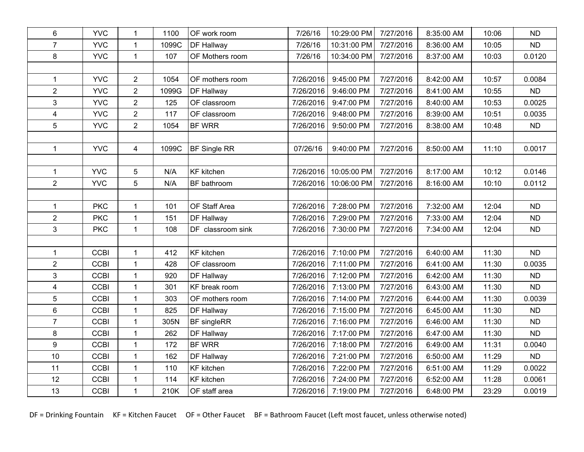| 6                       | <b>YVC</b>  | $\mathbf{1}$     | 1100  | OF work room      | 7/26/16   | 10:29:00 PM | 7/27/2016 | 8:35:00 AM | 10:06 | <b>ND</b> |
|-------------------------|-------------|------------------|-------|-------------------|-----------|-------------|-----------|------------|-------|-----------|
| $\overline{7}$          | <b>YVC</b>  | $\mathbf{1}$     | 1099C | DF Hallway        | 7/26/16   | 10:31:00 PM | 7/27/2016 | 8:36:00 AM | 10:05 | <b>ND</b> |
| 8                       | <b>YVC</b>  | $\mathbf{1}$     | 107   | OF Mothers room   | 7/26/16   | 10:34:00 PM | 7/27/2016 | 8:37:00 AM | 10:03 | 0.0120    |
|                         |             |                  |       |                   |           |             |           |            |       |           |
| $\mathbf{1}$            | <b>YVC</b>  | $\overline{2}$   | 1054  | OF mothers room   | 7/26/2016 | 9:45:00 PM  | 7/27/2016 | 8:42:00 AM | 10:57 | 0.0084    |
| $\overline{2}$          | <b>YVC</b>  | $\overline{2}$   | 1099G | DF Hallway        | 7/26/2016 | 9:46:00 PM  | 7/27/2016 | 8:41:00 AM | 10:55 | <b>ND</b> |
| 3                       | <b>YVC</b>  | $\boldsymbol{2}$ | 125   | OF classroom      | 7/26/2016 | 9:47:00 PM  | 7/27/2016 | 8:40:00 AM | 10:53 | 0.0025    |
| $\overline{\mathbf{4}}$ | <b>YVC</b>  | $\overline{2}$   | 117   | OF classroom      | 7/26/2016 | 9:48:00 PM  | 7/27/2016 | 8:39:00 AM | 10:51 | 0.0035    |
| 5                       | <b>YVC</b>  | $\overline{2}$   | 1054  | <b>BF WRR</b>     | 7/26/2016 | 9:50:00 PM  | 7/27/2016 | 8:38:00 AM | 10:48 | <b>ND</b> |
|                         |             |                  |       |                   |           |             |           |            |       |           |
| $\mathbf{1}$            | <b>YVC</b>  | $\overline{4}$   | 1099C | BF Single RR      | 07/26/16  | 9:40:00 PM  | 7/27/2016 | 8:50:00 AM | 11:10 | 0.0017    |
|                         |             |                  |       |                   |           |             |           |            |       |           |
| $\mathbf{1}$            | <b>YVC</b>  | 5                | N/A   | <b>KF</b> kitchen | 7/26/2016 | 10:05:00 PM | 7/27/2016 | 8:17:00 AM | 10:12 | 0.0146    |
| $\overline{2}$          | <b>YVC</b>  | 5                | N/A   | BF bathroom       | 7/26/2016 | 10:06:00 PM | 7/27/2016 | 8:16:00 AM | 10:10 | 0.0112    |
|                         |             |                  |       |                   |           |             |           |            |       |           |
| $\mathbf{1}$            | <b>PKC</b>  | $\mathbf{1}$     | 101   | OF Staff Area     | 7/26/2016 | 7:28:00 PM  | 7/27/2016 | 7:32:00 AM | 12:04 | <b>ND</b> |
| $\overline{2}$          | <b>PKC</b>  | $\mathbf 1$      | 151   | DF Hallway        | 7/26/2016 | 7:29:00 PM  | 7/27/2016 | 7:33:00 AM | 12:04 | <b>ND</b> |
| 3                       | <b>PKC</b>  | $\mathbf{1}$     | 108   | DF classroom sink | 7/26/2016 | 7:30:00 PM  | 7/27/2016 | 7:34:00 AM | 12:04 | <b>ND</b> |
|                         |             |                  |       |                   |           |             |           |            |       |           |
| $\mathbf{1}$            | <b>CCBI</b> | $\mathbf{1}$     | 412   | <b>KF</b> kitchen | 7/26/2016 | 7:10:00 PM  | 7/27/2016 | 6:40:00 AM | 11:30 | <b>ND</b> |
| $\overline{2}$          | <b>CCBI</b> | $\mathbf{1}$     | 428   | OF classroom      | 7/26/2016 | 7:11:00 PM  | 7/27/2016 | 6:41:00 AM | 11:30 | 0.0035    |
| 3                       | <b>CCBI</b> | $\mathbf{1}$     | 920   | DF Hallway        | 7/26/2016 | 7:12:00 PM  | 7/27/2016 | 6:42:00 AM | 11:30 | <b>ND</b> |
| $\overline{\mathbf{4}}$ | <b>CCBI</b> | $\mathbf{1}$     | 301   | KF break room     | 7/26/2016 | 7:13:00 PM  | 7/27/2016 | 6:43:00 AM | 11:30 | <b>ND</b> |
| 5                       | <b>CCBI</b> | $\mathbf 1$      | 303   | OF mothers room   | 7/26/2016 | 7:14:00 PM  | 7/27/2016 | 6:44:00 AM | 11:30 | 0.0039    |
| 6                       | <b>CCBI</b> | $\mathbf{1}$     | 825   | DF Hallway        | 7/26/2016 | 7:15:00 PM  | 7/27/2016 | 6:45:00 AM | 11:30 | <b>ND</b> |
| $\overline{7}$          | <b>CCBI</b> | $\mathbf{1}$     | 305N  | BF singleRR       | 7/26/2016 | 7:16:00 PM  | 7/27/2016 | 6:46:00 AM | 11:30 | <b>ND</b> |
| 8                       | <b>CCBI</b> | $\mathbf{1}$     | 262   | DF Hallway        | 7/26/2016 | 7:17:00 PM  | 7/27/2016 | 6:47:00 AM | 11:30 | <b>ND</b> |
| 9                       | <b>CCBI</b> | $\mathbf{1}$     | 172   | BF WRR            | 7/26/2016 | 7:18:00 PM  | 7/27/2016 | 6:49:00 AM | 11:31 | 0.0040    |
| 10                      | <b>CCBI</b> | $\mathbf{1}$     | 162   | DF Hallway        | 7/26/2016 | 7:21:00 PM  | 7/27/2016 | 6:50:00 AM | 11:29 | <b>ND</b> |
| 11                      | <b>CCBI</b> | $\mathbf{1}$     | 110   | <b>KF</b> kitchen | 7/26/2016 | 7:22:00 PM  | 7/27/2016 | 6:51:00 AM | 11:29 | 0.0022    |
| 12                      | <b>CCBI</b> | $\mathbf{1}$     | 114   | <b>KF</b> kitchen | 7/26/2016 | 7:24:00 PM  | 7/27/2016 | 6:52:00 AM | 11:28 | 0.0061    |
| 13                      | <b>CCBI</b> | $\mathbf{1}$     | 210K  | OF staff area     | 7/26/2016 | 7:19:00 PM  | 7/27/2016 | 6:48:00 PM | 23:29 | 0.0019    |

DF = Drinking Fountain KF = Kitchen Faucet OF = Other Faucet BF = Bathroom Faucet (Left most faucet, unless otherwise noted)